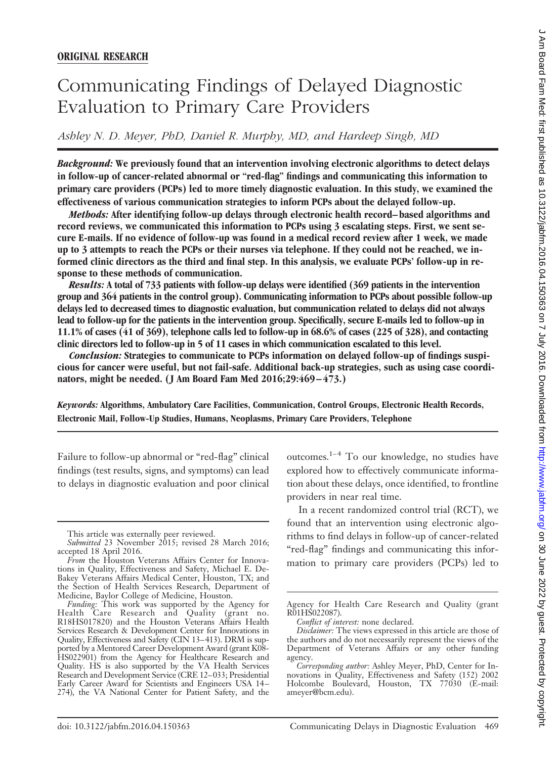# Communicating Findings of Delayed Diagnostic Evaluation to Primary Care Providers

*Ashley N. D. Meyer, PhD, Daniel R. Murphy, MD, and Hardeep Singh, MD*

*Background:* **We previously found that an intervention involving electronic algorithms to detect delays in follow-up of cancer-related abnormal or "red-flag" findings and communicating this information to primary care providers (PCPs) led to more timely diagnostic evaluation. In this study, we examined the effectiveness of various communication strategies to inform PCPs about the delayed follow-up.**

*Methods:* **After identifying follow-up delays through electronic health record–based algorithms and record reviews, we communicated this information to PCPs using 3 escalating steps. First, we sent secure E-mails. If no evidence of follow-up was found in a medical record review after 1 week, we made up to 3 attempts to reach the PCPs or their nurses via telephone. If they could not be reached, we informed clinic directors as the third and final step. In this analysis, we evaluate PCPs' follow-up in response to these methods of communication.**

*Results:* **A total of 733 patients with follow-up delays were identified (369 patients in the intervention group and 364 patients in the control group). Communicating information to PCPs about possible follow-up delays led to decreased times to diagnostic evaluation, but communication related to delays did not always lead to follow-up for the patients in the intervention group. Specifically, secure E-mails led to follow-up in 11.1% of cases (41 of 369), telephone calls led to follow-up in 68.6% of cases (225 of 328), and contacting clinic directors led to follow-up in 5 of 11 cases in which communication escalated to this level.**

*Conclusion:* **Strategies to communicate to PCPs information on delayed follow-up of findings suspicious for cancer were useful, but not fail-safe. Additional back-up strategies, such as using case coordinators, might be needed. (J Am Board Fam Med 2016;29:469–473.)**

*Keywords:* **Algorithms, Ambulatory Care Facilities, Communication, Control Groups, Electronic Health Records, Electronic Mail, Follow-Up Studies, Humans, Neoplasms, Primary Care Providers, Telephone**

Failure to follow-up abnormal or "red-flag" clinical findings (test results, signs, and symptoms) can lead to delays in diagnostic evaluation and poor clinical outcomes. $1-4$  To our knowledge, no studies have explored how to effectively communicate information about these delays, once identified, to frontline providers in near real time.

In a recent randomized control trial (RCT), we found that an intervention using electronic algorithms to find delays in follow-up of cancer-related "red-flag" findings and communicating this information to primary care providers (PCPs) led to

This article was externally peer reviewed.

*Submitted* 23 November 2015; revised 28 March 2016; accepted 18 April 2016.

*From* the Houston Veterans Affairs Center for Innovations in Quality, Effectiveness and Safety, Michael E. De-Bakey Veterans Affairs Medical Center, Houston, TX; and the Section of Health Services Research, Department of Medicine, Baylor College of Medicine, Houston.

*Funding:* This work was supported by the Agency for Health Care Research and Quality (grant no. R18HS017820) and the Houston Veterans Affairs Health Services Research & Development Center for Innovations in Quality, Effectiveness and Safety (CIN 13–413). DRM is supported by a Mentored Career Development Award (grant K08- HS022901) from the Agency for Healthcare Research and Quality. HS is also supported by the VA Health Services Research and Development Service (CRE 12–033; Presidential Early Career Award for Scientists and Engineers USA 14 – 274), the VA National Center for Patient Safety, and the

Agency for Health Care Research and Quality (grant R01HS022087).

*Conflict of interest:* none declared.

*Disclaimer:* The views expressed in this article are those of the authors and do not necessarily represent the views of the Department of Veterans Affairs or any other funding agency.

*Corresponding author:* Ashley Meyer, PhD, Center for Innovations in Quality, Effectiveness and Safety (152) 2002 Holcombe Boulevard, Houston, TX 77030 (E-mail: [ameyer@bcm.edu](mailto:ameyer@bcm.edu).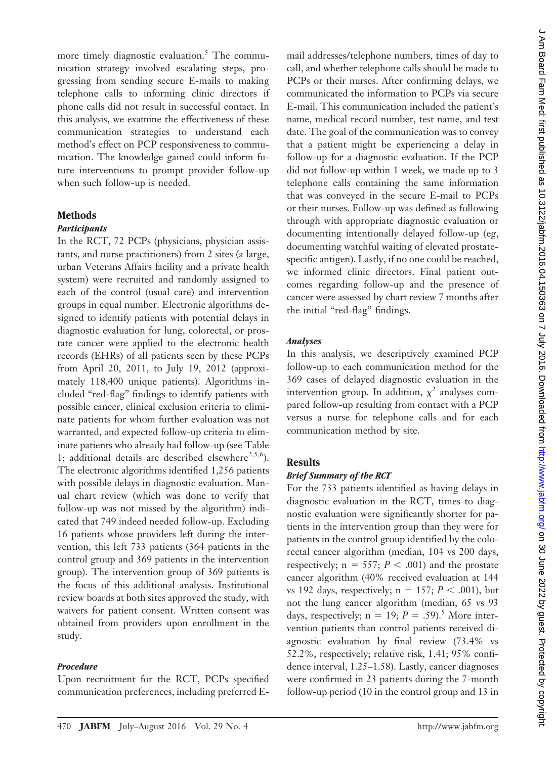more timely diagnostic evaluation.<sup>5</sup> The communication strategy involved escalating steps, progressing from sending secure E-mails to making telephone calls to informing clinic directors if phone calls did not result in successful contact. In this analysis, we examine the effectiveness of these communication strategies to understand each method's effect on PCP responsiveness to communication. The knowledge gained could inform future interventions to prompt provider follow-up when such follow-up is needed.

## **Methods**

#### *Participants*

In the RCT, 72 PCPs (physicians, physician assistants, and nurse practitioners) from 2 sites (a large, urban Veterans Affairs facility and a private health system) were recruited and randomly assigned to each of the control (usual care) and intervention groups in equal number. Electronic algorithms designed to identify patients with potential delays in diagnostic evaluation for lung, colorectal, or prostate cancer were applied to the electronic health records (EHRs) of all patients seen by these PCPs from April 20, 2011, to July 19, 2012 (approximately 118,400 unique patients). Algorithms included "red-flag" findings to identify patients with possible cancer, clinical exclusion criteria to eliminate patients for whom further evaluation was not warranted, and expected follow-up criteria to eliminate patients who already had follow-up (see Table 1; additional details are described elsewhere $2,5,6$ ). The electronic algorithms identified 1,256 patients with possible delays in diagnostic evaluation. Manual chart review (which was done to verify that follow-up was not missed by the algorithm) indicated that 749 indeed needed follow-up. Excluding 16 patients whose providers left during the intervention, this left 733 patients (364 patients in the control group and 369 patients in the intervention group). The intervention group of 369 patients is the focus of this additional analysis. Institutional review boards at both sites approved the study, with waivers for patient consent. Written consent was obtained from providers upon enrollment in the study.

#### *Procedure*

Upon recruitment for the RCT, PCPs specified communication preferences, including preferred E- mail addresses/telephone numbers, times of day to call, and whether telephone calls should be made to PCPs or their nurses. After confirming delays, we communicated the information to PCPs via secure E-mail. This communication included the patient's name, medical record number, test name, and test date. The goal of the communication was to convey that a patient might be experiencing a delay in follow-up for a diagnostic evaluation. If the PCP did not follow-up within 1 week, we made up to 3 telephone calls containing the same information that was conveyed in the secure E-mail to PCPs or their nurses. Follow-up was defined as following through with appropriate diagnostic evaluation or documenting intentionally delayed follow-up (eg, documenting watchful waiting of elevated prostatespecific antigen). Lastly, if no one could be reached, we informed clinic directors. Final patient outcomes regarding follow-up and the presence of cancer were assessed by chart review 7 months after the initial "red-flag" findings.

#### *Analyses*

In this analysis, we descriptively examined PCP follow-up to each communication method for the 369 cases of delayed diagnostic evaluation in the intervention group. In addition,  $\chi^2$  analyses compared follow-up resulting from contact with a PCP versus a nurse for telephone calls and for each communication method by site.

## **Results**

#### *Brief Summary of the RCT*

For the 733 patients identified as having delays in diagnostic evaluation in the RCT, times to diagnostic evaluation were significantly shorter for patients in the intervention group than they were for patients in the control group identified by the colorectal cancer algorithm (median, 104 vs 200 days, respectively;  $n = 557$ ;  $P < .001$ ) and the prostate cancer algorithm (40% received evaluation at 144 vs 192 days, respectively;  $n = 157$ ;  $P < .001$ ), but not the lung cancer algorithm (median, 65 vs 93 days, respectively;  $n = 19$ ;  $P = .59$ ).<sup>5</sup> More intervention patients than control patients received diagnostic evaluation by final review (73.4% vs 52.2%, respectively; relative risk, 1.41; 95% confidence interval, 1.25–1.58). Lastly, cancer diagnoses were confirmed in 23 patients during the 7-month follow-up period (10 in the control group and 13 in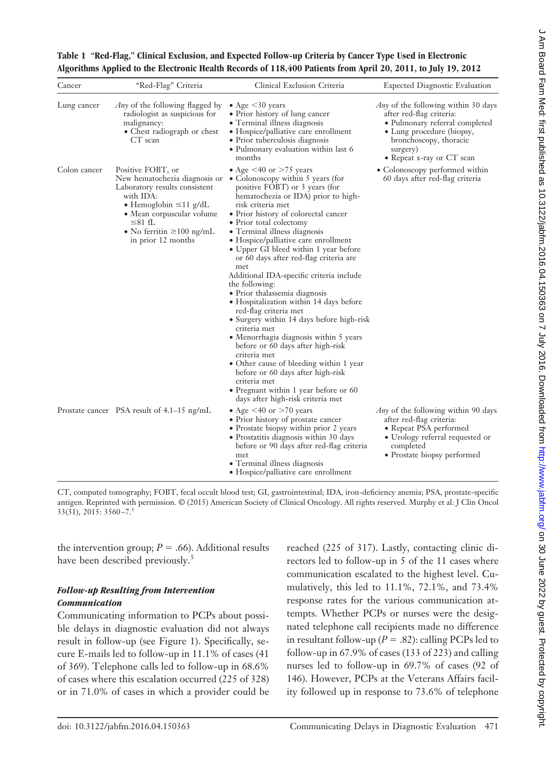| $\sim$ Depirat string term Negri string to the second string (10.04.1903) or $\sim$ July 2016 or $\sim$ July 2016 or $\sim$ July 2016 or $\sim$ July 2016 or $\sim$ |
|---------------------------------------------------------------------------------------------------------------------------------------------------------------------|
|                                                                                                                                                                     |
|                                                                                                                                                                     |
|                                                                                                                                                                     |
|                                                                                                                                                                     |
|                                                                                                                                                                     |
|                                                                                                                                                                     |
|                                                                                                                                                                     |
|                                                                                                                                                                     |
|                                                                                                                                                                     |
|                                                                                                                                                                     |
|                                                                                                                                                                     |
|                                                                                                                                                                     |
|                                                                                                                                                                     |
|                                                                                                                                                                     |
|                                                                                                                                                                     |
|                                                                                                                                                                     |
|                                                                                                                                                                     |
|                                                                                                                                                                     |
|                                                                                                                                                                     |
| ここりょう こうしょうしょ どうりょ                                                                                                                                                  |
|                                                                                                                                                                     |
|                                                                                                                                                                     |
|                                                                                                                                                                     |
|                                                                                                                                                                     |
|                                                                                                                                                                     |
|                                                                                                                                                                     |
| こくらく                                                                                                                                                                |
|                                                                                                                                                                     |
|                                                                                                                                                                     |
|                                                                                                                                                                     |
| -<br>-<br>-<br>-                                                                                                                                                    |

## **Table 1 "Red-Flag," Clinical Exclusion, and Expected Follow-up Criteria by Cancer Type Used in Electronic Algorithms Applied to the Electronic Health Records of 118,400 Patients from April 20, 2011, to July 19, 2012**

| Cancer       | "Red-Flag" Criteria                                                                                                                                                                                                            | Clinical Exclusion Criteria                                                                                                                                                                                                                                                                                                                                                                                                                                                                                                                                                                                                                                                                                                                                                                                                                                                                                          | <b>Expected Diagnostic Evaluation</b>                                                                                                                                                                    |
|--------------|--------------------------------------------------------------------------------------------------------------------------------------------------------------------------------------------------------------------------------|----------------------------------------------------------------------------------------------------------------------------------------------------------------------------------------------------------------------------------------------------------------------------------------------------------------------------------------------------------------------------------------------------------------------------------------------------------------------------------------------------------------------------------------------------------------------------------------------------------------------------------------------------------------------------------------------------------------------------------------------------------------------------------------------------------------------------------------------------------------------------------------------------------------------|----------------------------------------------------------------------------------------------------------------------------------------------------------------------------------------------------------|
| Lung cancer  | <i>Any</i> of the following flagged by<br>radiologist as suspicious for<br>malignancy:<br>• Chest radiograph or chest<br>$CT$ scan                                                                                             | • Age $\leq$ 30 years<br>• Prior history of lung cancer<br>• Terminal illness diagnosis<br>• Hospice/palliative care enrollment<br>• Prior tuberculosis diagnosis<br>• Pulmonary evaluation within last 6<br>months                                                                                                                                                                                                                                                                                                                                                                                                                                                                                                                                                                                                                                                                                                  | <i>Any</i> of the following within 30 days<br>after red-flag criteria:<br>• Pulmonary referral completed<br>• Lung procedure (biopsy,<br>bronchoscopy, thoracic<br>surgery)<br>• Repeat x-ray or CT scan |
| Colon cancer | Positive FOBT, or<br>New hematochezia diagnosis or<br>Laboratory results consistent<br>with IDA:<br>• Hemoglobin $\leq 11$ g/dL<br>• Mean corpuscular volume<br>≤81 fL<br>• No ferritin $\geq 100$ ng/mL<br>in prior 12 months | • Age $\leq 40$ or $> 75$ years<br>• Colonoscopy within 5 years (for<br>positive FOBT) or 3 years (for<br>hematochezia or IDA) prior to high-<br>risk criteria met<br>· Prior history of colorectal cancer<br>• Prior total colectomy<br>• Terminal illness diagnosis<br>• Hospice/palliative care enrollment<br>• Upper GI bleed within 1 year before<br>or 60 days after red-flag criteria are<br>met<br>Additional IDA-specific criteria include<br>the following:<br>• Prior thalassemia diagnosis<br>• Hospitalization within 14 days before<br>red-flag criteria met<br>• Surgery within 14 days before high-risk<br>criteria met<br>· Menorrhagia diagnosis within 5 years<br>before or 60 days after high-risk<br>criteria met<br>• Other cause of bleeding within 1 year<br>before or 60 days after high-risk<br>criteria met<br>• Pregnant within 1 year before or 60<br>days after high-risk criteria met | • Colonoscopy performed within<br>60 days after red-flag criteria                                                                                                                                        |
|              | Prostate cancer PSA result of 4.1–15 ng/mL                                                                                                                                                                                     | • Age $\leq 40$ or $> 70$ years<br>• Prior history of prostate cancer<br>• Prostate biopsy within prior 2 years<br>• Prostatitis diagnosis within 30 days<br>before or 90 days after red-flag criteria<br>met<br>• Terminal illness diagnosis<br>• Hospice/palliative care enrollment                                                                                                                                                                                                                                                                                                                                                                                                                                                                                                                                                                                                                                | <i>Any</i> of the following within 90 days<br>after red-flag criteria:<br>• Repeat PSA performed<br>• Urology referral requested or<br>completed<br>• Prostate biopsy performed                          |

CT, computed tomography; FOBT, fecal occult blood test; GI, gastrointestinal; IDA, iron-deficiency anemia; PSA, prostate-specific antigen. Reprinted with permission. © (2015) American Society of Clinical Oncology. All rights reserved. Murphy et al: J Clin Oncol 33(31), 2015: 3560 –7.5

the intervention group;  $P = .66$ ). Additional results have been described previously.<sup>5</sup>

## *Follow-up Resulting from Intervention Communication*

Communicating information to PCPs about possible delays in diagnostic evaluation did not always result in follow-up (see Figure 1). Specifically, secure E-mails led to follow-up in 11.1% of cases (41 of 369). Telephone calls led to follow-up in 68.6% of cases where this escalation occurred (225 of 328) or in 71.0% of cases in which a provider could be reached (225 of 317). Lastly, contacting clinic directors led to follow-up in 5 of the 11 cases where communication escalated to the highest level. Cumulatively, this led to 11.1%, 72.1%, and 73.4% response rates for the various communication attempts. Whether PCPs or nurses were the designated telephone call recipients made no difference in resultant follow-up ( $P = .82$ ): calling PCPs led to follow-up in 67.9% of cases (133 of 223) and calling nurses led to follow-up in 69.7% of cases (92 of 146). However, PCPs at the Veterans Affairs facility followed up in response to 73.6% of telephone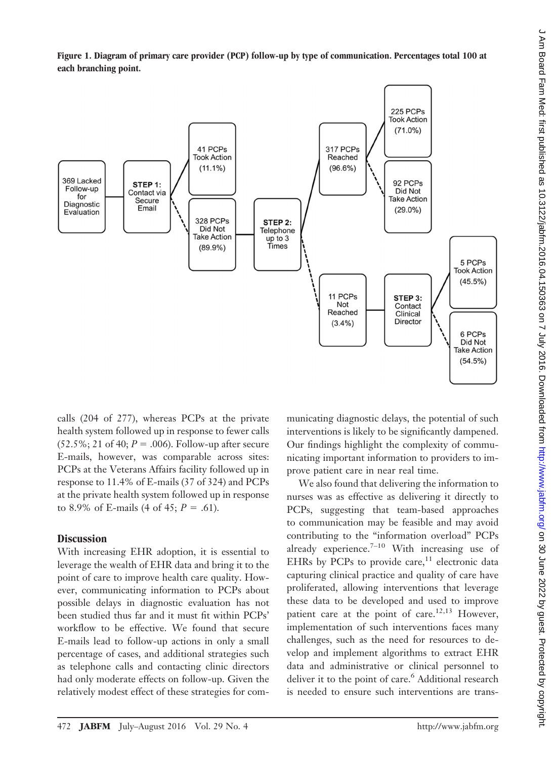



calls (204 of 277), whereas PCPs at the private health system followed up in response to fewer calls  $(52.5\%; 21 \text{ of } 40; P = .006)$ . Follow-up after secure E-mails, however, was comparable across sites: PCPs at the Veterans Affairs facility followed up in response to 11.4% of E-mails (37 of 324) and PCPs at the private health system followed up in response to 8.9% of E-mails  $(4 \text{ of } 45; P = .61)$ .

## **Discussion**

With increasing EHR adoption, it is essential to leverage the wealth of EHR data and bring it to the point of care to improve health care quality. However, communicating information to PCPs about possible delays in diagnostic evaluation has not been studied thus far and it must fit within PCPs' workflow to be effective. We found that secure E-mails lead to follow-up actions in only a small percentage of cases, and additional strategies such as telephone calls and contacting clinic directors had only moderate effects on follow-up. Given the relatively modest effect of these strategies for communicating diagnostic delays, the potential of such interventions is likely to be significantly dampened. Our findings highlight the complexity of communicating important information to providers to improve patient care in near real time.

We also found that delivering the information to nurses was as effective as delivering it directly to PCPs, suggesting that team-based approaches to communication may be feasible and may avoid contributing to the "information overload" PCPs already experience. $7-10$  With increasing use of EHRs by PCPs to provide care, $11$  electronic data capturing clinical practice and quality of care have proliferated, allowing interventions that leverage these data to be developed and used to improve patient care at the point of care.<sup>12,13</sup> However, implementation of such interventions faces many challenges, such as the need for resources to develop and implement algorithms to extract EHR data and administrative or clinical personnel to deliver it to the point of care.<sup>6</sup> Additional research is needed to ensure such interventions are trans